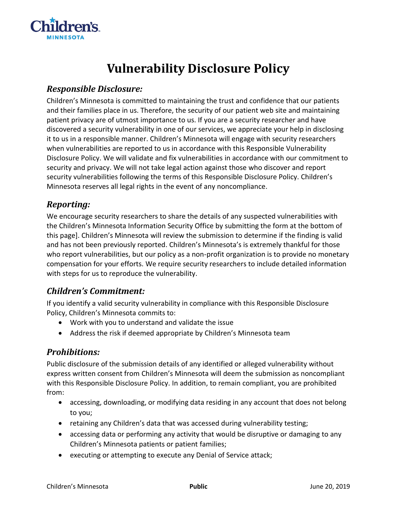

# **Vulnerability Disclosure Policy**

### *Responsible Disclosure:*

Children's Minnesota is committed to maintaining the trust and confidence that our patients and their families place in us. Therefore, the security of our patient web site and maintaining patient privacy are of utmost importance to us. If you are a security researcher and have discovered a security vulnerability in one of our services, we appreciate your help in disclosing it to us in a responsible manner. Children's Minnesota will engage with security researchers when vulnerabilities are reported to us in accordance with this Responsible Vulnerability Disclosure Policy. We will validate and fix vulnerabilities in accordance with our commitment to security and privacy. We will not take legal action against those who discover and report security vulnerabilities following the terms of this Responsible Disclosure Policy. Children's Minnesota reserves all legal rights in the event of any noncompliance.

## *Reporting:*

We encourage security researchers to share the details of any suspected vulnerabilities with the Children's Minnesota Information Security Office by submitting the form at the bottom of this page]. Children's Minnesota will review the submission to determine if the finding is valid and has not been previously reported. Children's Minnesota's is extremely thankful for those who report vulnerabilities, but our policy as a non-profit organization is to provide no monetary compensation for your efforts. We require security researchers to include detailed information with steps for us to reproduce the vulnerability.

# *Children's Commitment:*

If you identify a valid security vulnerability in compliance with this Responsible Disclosure Policy, Children's Minnesota commits to:

- Work with you to understand and validate the issue
- Address the risk if deemed appropriate by Children's Minnesota team

### *Prohibitions:*

Public disclosure of the submission details of any identified or alleged vulnerability without express written consent from Children's Minnesota will deem the submission as noncompliant with this Responsible Disclosure Policy. In addition, to remain compliant, you are prohibited from:

- accessing, downloading, or modifying data residing in any account that does not belong to you;
- retaining any Children's data that was accessed during vulnerability testing;
- accessing data or performing any activity that would be disruptive or damaging to any Children's Minnesota patients or patient families;
- executing or attempting to execute any Denial of Service attack;